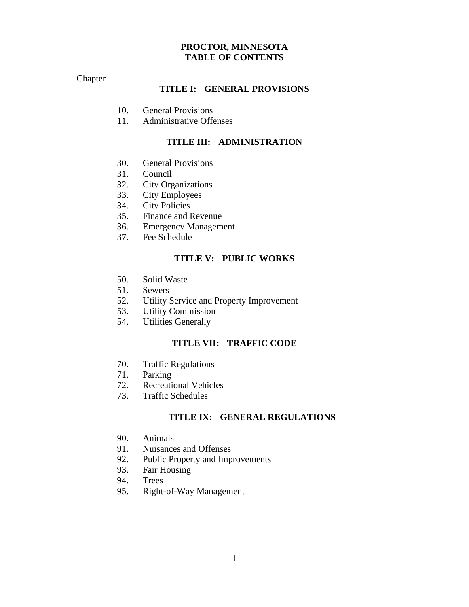# **PROCTOR, MINNESOTA TABLE OF CONTENTS**

## Chapter

# **TITLE I: GENERAL PROVISIONS**

- 10. General Provisions
- 11. Administrative Offenses

# **TITLE III: ADMINISTRATION**

- 30. General Provisions
- 31. Council
- 32. City Organizations
- 33. City Employees
- 34. City Policies
- 35. Finance and Revenue
- 36. Emergency Management
- 37. Fee Schedule

## **TITLE V: PUBLIC WORKS**

- 50. Solid Waste
- 51. Sewers
- 52. Utility Service and Property Improvement
- 53. Utility Commission
- 54. Utilities Generally

# **TITLE VII: TRAFFIC CODE**

- 70. Traffic Regulations
- 71. Parking
- 72. Recreational Vehicles
- 73. Traffic Schedules

# **TITLE IX: GENERAL REGULATIONS**

- 90. Animals
- 91. Nuisances and Offenses
- 92. Public Property and Improvements
- 93. Fair Housing
- 94. Trees
- 95. Right-of-Way Management